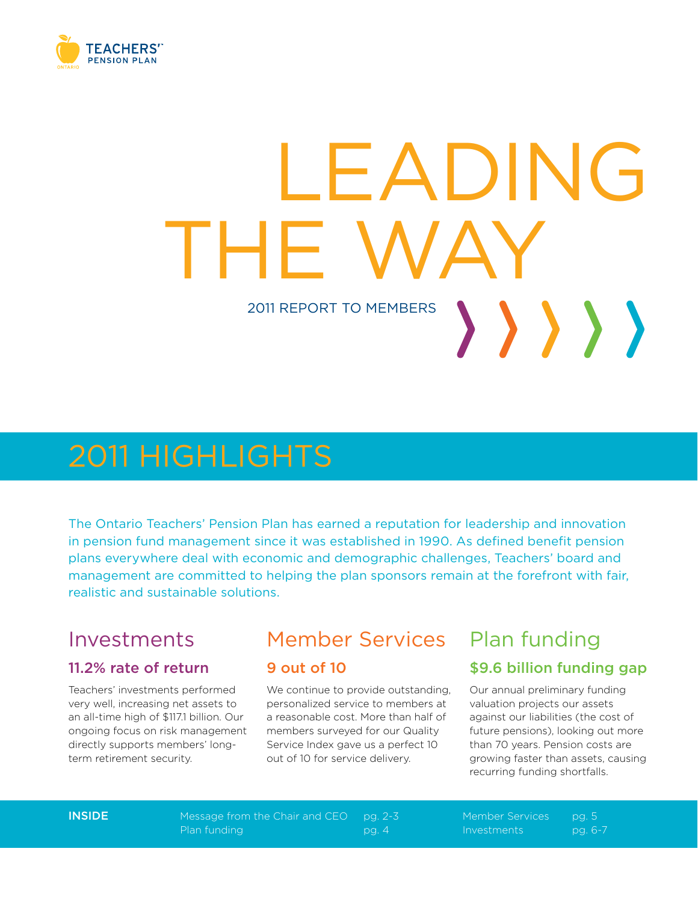

# LEADING IHE V 2011 REPORT to members >>>>>>

## 2011 highlights

The Ontario Teachers' Pension Plan has earned a reputation for leadership and innovation in pension fund management since it was established in 1990. As defined benefit pension plans everywhere deal with economic and demographic challenges, Teachers' board and management are committed to helping the plan sponsors remain at the forefront with fair, realistic and sustainable solutions.

### Investments

### 11.2% rate of return

Teachers' investments performed very well, increasing net assets to an all-time high of \$117.1 billion. Our ongoing focus on risk management directly supports members' longterm retirement security.

### Member Services

#### 9 out of 10

We continue to provide outstanding, personalized service to members at a reasonable cost. More than half of members surveyed for our Quality Service Index gave us a perfect 10 out of 10 for service delivery.

### Plan funding

### \$9.6 billion funding gap

Our annual preliminary funding valuation projects our assets against our liabilities (the cost of future pensions), looking out more than 70 years. Pension costs are growing faster than assets, causing recurring funding shortfalls.

Inside Message from the Chair and CEO pg. 2-3 Member Services pg. 5 Plan funding pg. 4 Investments pg. 6-7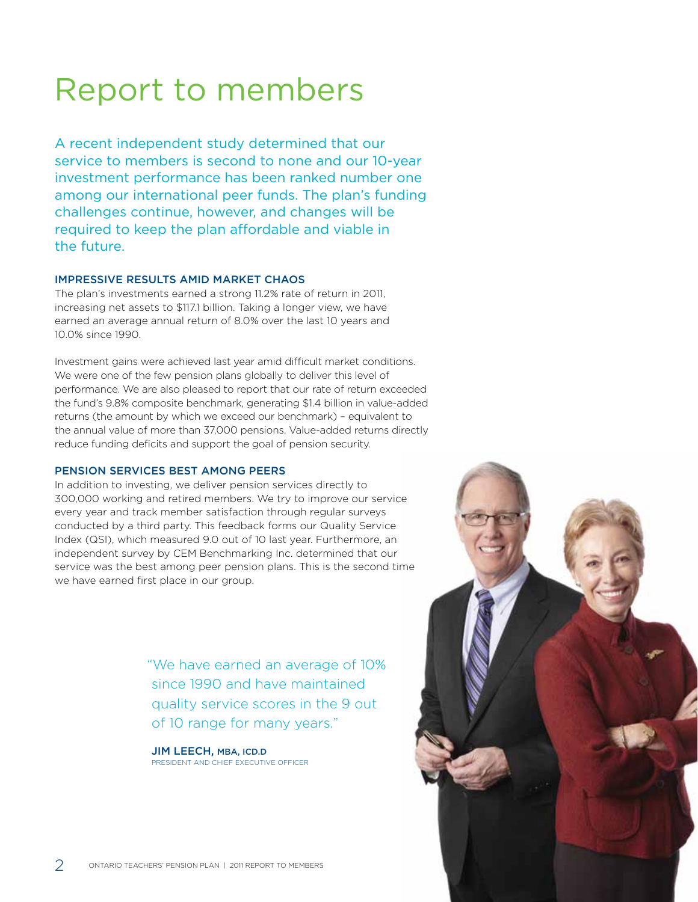## Report to members

A recent independent study determined that our service to members is second to none and our 10-year investment performance has been ranked number one among our international peer funds. The plan's funding challenges continue, however, and changes will be required to keep the plan affordable and viable in the future.

#### Impressive results amid market chaos

The plan's investments earned a strong 11.2% rate of return in 2011, increasing net assets to \$117.1 billion. Taking a longer view, we have earned an average annual return of 8.0% over the last 10 years and 10.0% since 1990.

Investment gains were achieved last year amid difficult market conditions. We were one of the few pension plans globally to deliver this level of performance. We are also pleased to report that our rate of return exceeded the fund's 9.8% composite benchmark, generating \$1.4 billion in value-added returns (the amount by which we exceed our benchmark) – equivalent to the annual value of more than 37,000 pensions. Value-added returns directly reduce funding deficits and support the goal of pension security.

#### Pension services best AMONG PEERS

In addition to investing, we deliver pension services directly to 300,000 working and retired members. We try to improve our service every year and track member satisfaction through regular surveys conducted by a third party. This feedback forms our Quality Service Index (QSI), which measured 9.0 out of 10 last year. Furthermore, an independent survey by CEM Benchmarking Inc. determined that our service was the best among peer pension plans. This is the second time we have earned first place in our group.

> "We have earned an average of 10% since 1990 and have maintained quality service scores in the 9 out of 10 range for many years."

JIM LEECH, MBA, ICD.D President and Chief Executive Officer

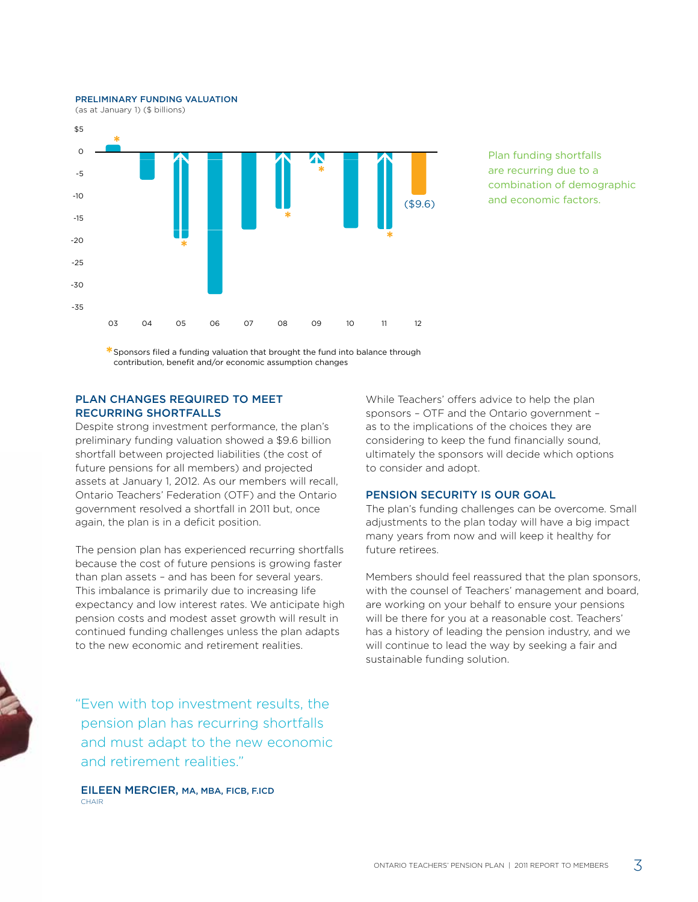preliminary funding valuation



Plan funding shortfalls are recurring due to a combination of demographic and economic factors.

**\***Sponsors filed a funding valuation that brought the fund into balance through contribution, benefit and/or economic assumption changes

#### Plan changes required to meet RECURRING SHORTFALLS

Despite strong investment performance, the plan's preliminary funding valuation showed a \$9.6 billion shortfall between projected liabilities (the cost of future pensions for all members) and projected assets at January 1, 2012. As our members will recall, Ontario Teachers' Federation (OTF) and the Ontario government resolved a shortfall in 2011 but, once again, the plan is in a deficit position.

The pension plan has experienced recurring shortfalls because the cost of future pensions is growing faster than plan assets – and has been for several years. This imbalance is primarily due to increasing life expectancy and low interest rates. We anticipate high pension costs and modest asset growth will result in continued funding challenges unless the plan adapts to the new economic and retirement realities.

"Even with top investment results, the pension plan has recurring shortfalls and must adapt to the new economic and retirement realities."

EILEEN MERCIER, MA, MBA, FICB, F.ICD CHAIR

While Teachers' offers advice to help the plan sponsors – OTF and the Ontario government – as to the implications of the choices they are considering to keep the fund financially sound, ultimately the sponsors will decide which options to consider and adopt.

#### Pension security is our goal

The plan's funding challenges can be overcome. Small adjustments to the plan today will have a big impact many years from now and will keep it healthy for future retirees.

Members should feel reassured that the plan sponsors, with the counsel of Teachers' management and board, are working on your behalf to ensure your pensions will be there for you at a reasonable cost. Teachers' has a history of leading the pension industry, and we will continue to lead the way by seeking a fair and sustainable funding solution.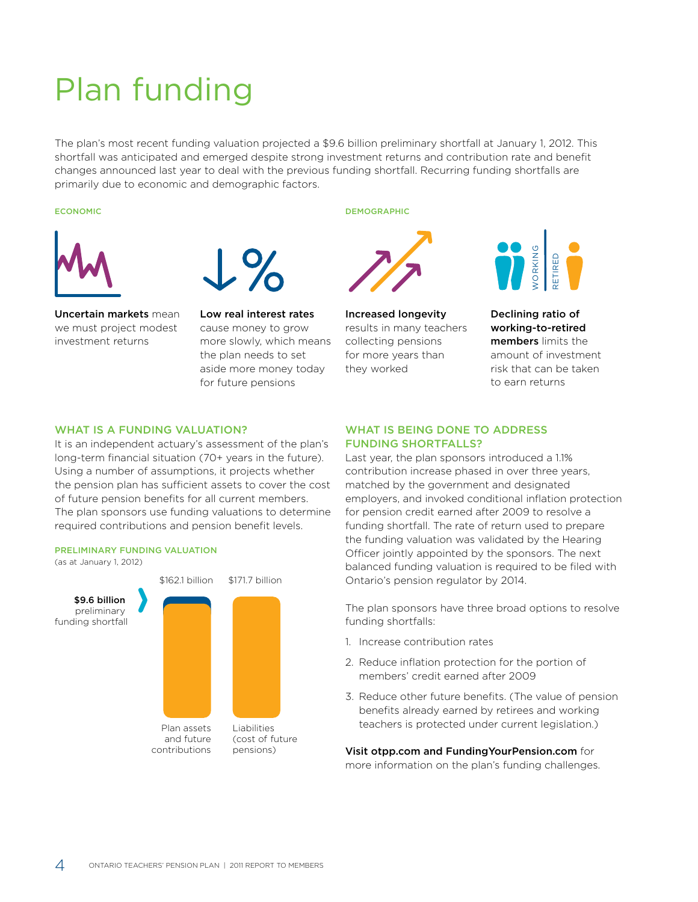## Plan funding

The plan's most recent funding valuation projected a \$9.6 billion preliminary shortfall at January 1, 2012. This shortfall was anticipated and emerged despite strong investment returns and contribution rate and benefit changes announced last year to deal with the previous funding shortfall. Recurring funding shortfalls are primarily due to economic and demographic factors. manny on  $f_{\text{eff}}$ Cramers



Uncertain markets mean we must project modest investment returns



Low real interest rates cause money to grow more slowly, which means the plan needs to set aside more money today for future pensions .<br>IC<br>Ife n<br>e

#### economic demographic demographic demographic demographic demographic demographic demographic demographic demographic demographic demographic demographic demographic demographic demographic demographic demographic demograph



Increased longevity results in many teachers collecting pensions for more years than they worked



Declining ratio of working-to-retired members limits the amount of investment risk that can be taken to earn returns

#### WHAT IS A FUNDING VALUATION?

ns<br>re<br>M ik<br>P<br>D The plan sponsors use funding valuations to determine required contributions and pension benefit levels. It is an independent actuary's assessment of the plan's long-term financial situation (70+ years in the future). Using a number of assumptions, it projects whether the pension plan has sufficient assets to cover the cost of future pension benefits for all current members.

#### preliminary funding valuation

(as at January 1, 2012)



#### WHAT IS BEING DONE TO ADDRESS funding shortfalls?

Last year, the plan sponsors introduced a 1.1% contribution increase phased in over three years, matched by the government and designated employers, and invoked conditional inflation protection for pension credit earned after 2009 to resolve a funding shortfall. The rate of return used to prepare the funding valuation was validated by the Hearing Officer jointly appointed by the sponsors. The next balanced funding valuation is required to be filed with Ontario's pension regulator by 2014.

The plan sponsors have three broad options to resolve funding shortfalls:

- 1. Increase contribution rates
- 2. Reduce inflation protection for the portion of members' credit earned after 2009
- 3. Reduce other future benefits. (The value of pension benefits already earned by retirees and working teachers is protected under current legislation.)

Visit otpp.com and FundingYourPension.com for

more information on the plan's funding challenges.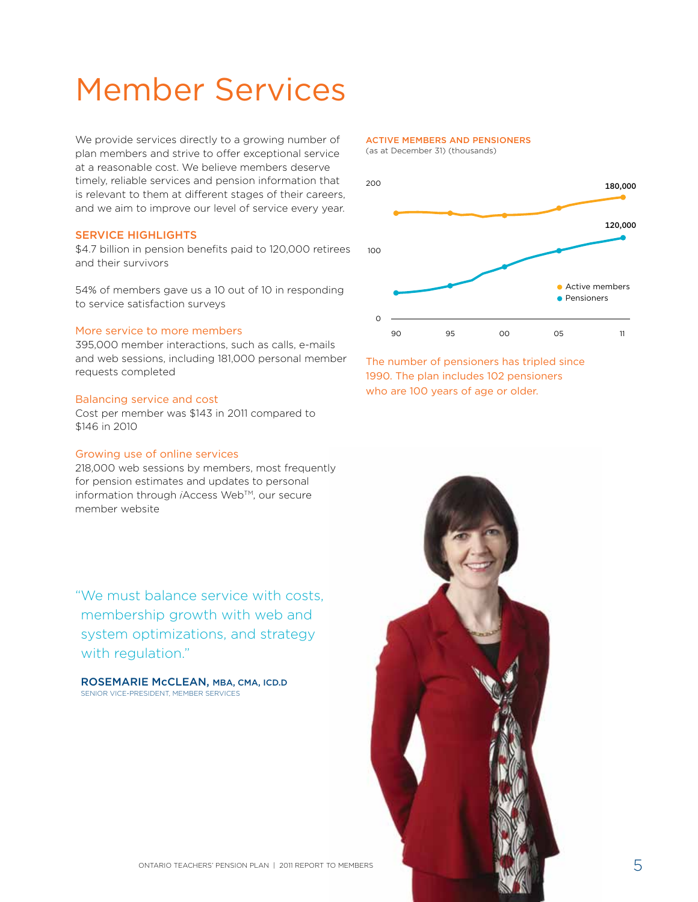## Member Services

We provide services directly to a growing number of plan members and strive to offer exceptional service at a reasonable cost. We believe members deserve timely, reliable services and pension information that is relevant to them at different stages of their careers, and we aim to improve our level of service every year.

#### Service highlights

\$4.7 billion in pension benefits paid to 120,000 retirees and their survivors

54% of members gave us a 10 out of 10 in responding to service satisfaction surveys

#### More service to more members

395,000 member interactions, such as calls, e-mails and web sessions, including 181,000 personal member requests completed

#### Balancing service and cost

Cost per member was \$143 in 2011 compared to \$146 in 2010

#### Growing use of online services

218,000 web sessions by members, most frequently for pension estimates and updates to personal information through *i*Access Web™, our secure member website

"We must balance service with costs, membership growth with web and system optimizations, and strategy with regulation."

Rosemarie McClean, MBA, CMA, ICD.D Senior Vice-President, Member Services

#### active members AND pensioners

(as at December 31) (thousands)



The number of pensioners has tripled since 1990. The plan includes 102 pensioners who are 100 years of age or older.

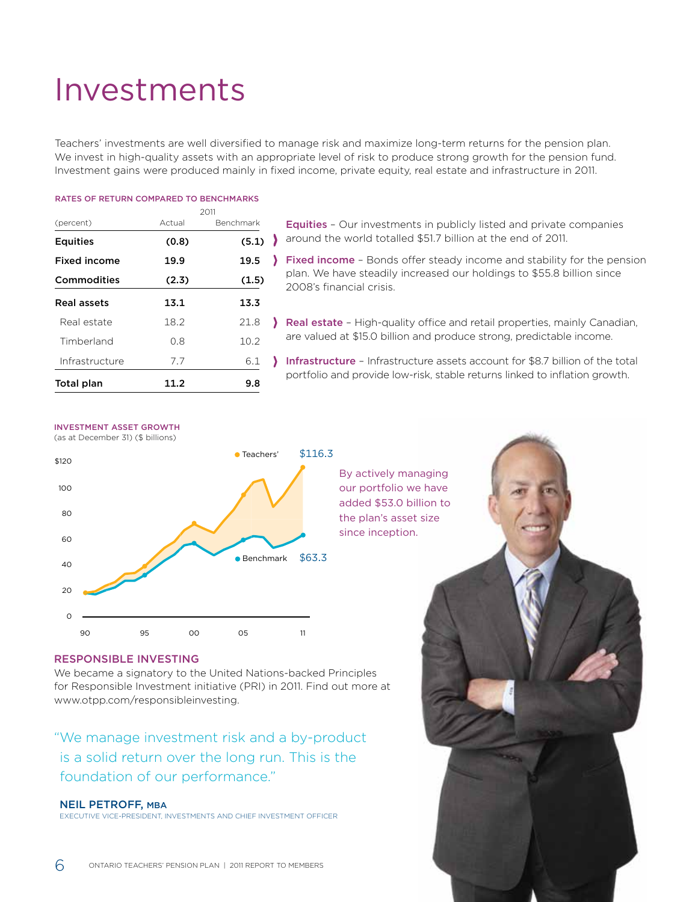## Investments

Teachers' investments are well diversified to manage risk and maximize long-term returns for the pension plan. We invest in high-quality assets with an appropriate level of risk to produce strong growth for the pension fund. Investment gains were produced mainly in fixed income, private equity, real estate and infrastructure in 2011.

#### Rates of return compared to Benchmarks

|                     |        | 2011      |  |
|---------------------|--------|-----------|--|
| (percent)           | Actual | Benchmark |  |
| <b>Equities</b>     | (0.8)  | (5.1)     |  |
| <b>Fixed income</b> | 19.9   | 19.5      |  |
| Commodities         | (2.3)  | (1.5)     |  |
| Real assets         | 13.1   | 13.3      |  |
| Real estate         | 18.2   | 21.8      |  |
| Timberland          | 0.8    | 10.2      |  |
| Infrastructure      | 7.7    | 6.1       |  |
| Total plan          | 11.2   | 9.8       |  |

Equities – Our investments in publicly listed and private companies around the world totalled \$51.7 billion at the end of 2011.

Fixed income - Bonds offer steady income and stability for the pension plan. We have steadily increased our holdings to \$55.8 billion since 2008's financial crisis.

- Real estate High-quality office and retail properties, mainly Canadian, are valued at \$15.0 billion and produce strong, predictable income.
- Infrastructure Infrastructure assets account for \$8.7 billion of the total portfolio and provide low-risk, stable returns linked to inflation growth.

#### Investment asset growth

(as at December 31) (\$ billions)



#### By actively managing our portfolio we have added \$53.0 billion to the plan's asset size since inception.

#### Responsible investing

We became a signatory to the United Nations-backed Principles for Responsible Investment initiative (PRI) in 2011. Find out more at www.otpp.com/responsibleinvesting.

"We manage investment risk and a by-product is a solid return over the long run. This is the foundation of our performance."

#### Neil Petroff, MBa

Executive Vice-President, Investments and Chief Investment Officer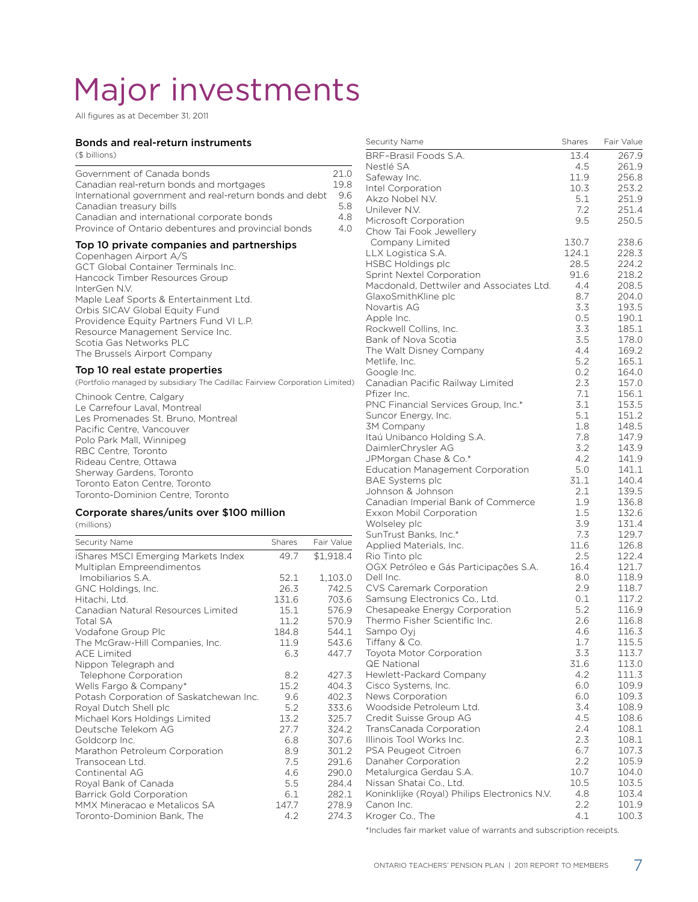## Major investments

All figures as at December 31, 2011

#### Bonds and real-return instruments

(\$ billions)

| Government of Canada bonds<br>Canadian real-return bonds and mortgages<br>International government and real-return bonds and debt<br>Canadian treasury bills<br>Canadian and international corporate bonds<br>Province of Ontario debentures and provincial bonds                                                                                                                          | 21.0<br>19.8<br>9.6<br>5.8<br>4.8<br>4.0 |
|--------------------------------------------------------------------------------------------------------------------------------------------------------------------------------------------------------------------------------------------------------------------------------------------------------------------------------------------------------------------------------------------|------------------------------------------|
| Top 10 private companies and partnerships<br>Copenhagen Airport A/S<br><b>GCT Global Container Terminals Inc.</b><br>Hancock Timber Resources Group<br>InterGen N.V.<br>Maple Leaf Sports & Entertainment Ltd.<br>Orbis SICAV Global Equity Fund<br>Providence Equity Partners Fund VI L.P.<br>Resource Management Service Inc.<br>Scotia Gas Networks PLC<br>The Brussels Airport Company |                                          |
| Top 10 real estate properties<br>(Portfolio managed by subsidiary The Cadillac Fairview Corporation Limited)                                                                                                                                                                                                                                                                               |                                          |
| Chinook Centre, Calgary<br>Le Carrefour Laval. Montreal<br>Les Promenades St. Bruno, Montreal<br>Pacific Centre, Vancouver<br>Polo Park Mall, Winnipeg<br>RBC Centre, Toronto<br>Rideau Centre, Ottawa<br>Sherway Gardens, Toronto<br>Toronto Eaton Centre, Toronto                                                                                                                        |                                          |

#### Corporate shares/units over \$100 million

Toronto-Dominion Centre, Toronto

(millions)

| Security Name                           | Shares | Fair Value |
|-----------------------------------------|--------|------------|
|                                         |        |            |
| iShares MSCI Emerging Markets Index     | 49.7   | \$1,918.4  |
| Multiplan Empreendimentos               |        |            |
| Imobiliarios S.A.                       | 52.1   | 1,103.0    |
| GNC Holdings, Inc.                      | 26.3   | 742.5      |
| Hitachi, Ltd.                           | 131.6  | 703.6      |
| Canadian Natural Resources Limited      | 15.1   | 576.9      |
| <b>Total SA</b>                         | 11.2   | 570.9      |
| Vodafone Group Plc                      | 184.8  | 544.1      |
| The McGraw-Hill Companies, Inc.         | 11.9   | 543.6      |
| <b>ACE Limited</b>                      | 6.3    | 447.7      |
| Nippon Telegraph and                    |        |            |
| Telephone Corporation                   | 8.2    | 427.3      |
| Wells Fargo & Company*                  | 15.2   | 404.3      |
| Potash Corporation of Saskatchewan Inc. | 9.6    | 402.3      |
| Royal Dutch Shell plc                   | 5.2    | 333.6      |
| Michael Kors Holdings Limited           | 13.2   | 325.7      |
| Deutsche Telekom AG                     | 27.7   | 324.2      |
| Goldcorp Inc.                           | 6.8    | 307.6      |
| Marathon Petroleum Corporation          | 8.9    | 301.2      |
| Transocean Ltd.                         | 7.5    | 291.6      |
| Continental AG                          | 4.6    | 290.0      |
| Royal Bank of Canada                    | 5.5    | 284.4      |
| <b>Barrick Gold Corporation</b>         | 6.1    | 282.1      |
| MMX Mineracao e Metalicos SA            | 147.7  | 278.9      |
| Toronto-Dominion Bank, The              | 4.2    | 274.3      |
|                                         |        |            |

|                 | Security Name                                   | Shares     | Fair Value     |
|-----------------|-------------------------------------------------|------------|----------------|
|                 | BRF-Brasil Foods S.A.                           | 13.4       | 267.9          |
|                 | Nestlé SA                                       | 4.5        | 261.9          |
| .0              | Safeway Inc.                                    | 11.9       | 256.8          |
| .8              | Intel Corporation                               | 10.3       | 253.2          |
| .6              | Akzo Nobel N.V.                                 | 5.1        | 251.9          |
| $\cdot$ 8<br>.8 | Unilever N.V.                                   | 7.2        | 251.4          |
|                 | Microsoft Corporation                           | 9.5        | 250.5          |
| 0.              | Chow Tai Fook Jewellery                         |            |                |
|                 | Company Limited                                 | 130.7      | 238.6          |
|                 | LLX Logistica S.A.                              | 124.1      | 228.3          |
|                 | <b>HSBC Holdings plc</b>                        | 28.5       | 224.2          |
|                 | Sprint Nextel Corporation                       | 91.6       | 218.2          |
|                 | Macdonald, Dettwiler and Associates Ltd.        | 4.4        | 208.5          |
|                 | GlaxoSmithKline plc                             | 8.7        | 204.0          |
|                 | Novartis AG                                     | 3.3        | 193.5          |
|                 | Apple Inc.                                      | 0.5        | 190.1          |
|                 | Rockwell Collins, Inc.                          | 3.3        | 185.1          |
|                 | Bank of Nova Scotia                             | 3.5        | 178.0          |
|                 | The Walt Disney Company                         | 4.4        | 169.2          |
|                 | Metlife, Inc.                                   | 5.2        | 165.1          |
|                 | Google Inc.                                     | 0.2        | 164.0          |
| (be             | Canadian Pacific Railway Limited                | 2.3        | 157.0          |
|                 | Pfizer Inc.                                     | 7.1        | 156.1          |
|                 | PNC Financial Services Group, Inc.*             | 3.1<br>5.1 | 153.5<br>151.2 |
|                 | Suncor Energy, Inc.                             | 1.8        |                |
|                 | <b>3M Company</b><br>Itaú Unibanco Holding S.A. | 7.8        | 148.5<br>147.9 |
|                 | DaimlerChrysler AG                              | 3.2        | 143.9          |
|                 | JPMorgan Chase & Co.*                           | 4.2        | 141.9          |
|                 | <b>Education Management Corporation</b>         | 5.0        | 141.1          |
|                 | <b>BAE Systems plc</b>                          | 31.1       | 140.4          |
|                 | Johnson & Johnson                               | 2.1        | 139.5          |
|                 | Canadian Imperial Bank of Commerce              | 1.9        | 136.8          |
|                 | Exxon Mobil Corporation                         | $1.5\,$    | 132.6          |
|                 | Wolseley plc                                    | 3.9        | 131.4          |
|                 | SunTrust Banks, Inc.*                           | 7.3        | 129.7          |
| ue              | Applied Materials, Inc.                         | 11.6       | 126.8          |
| $\overline{A}$  | Rio Tinto plc                                   | 2.5        | 122.4          |
|                 | OGX Petróleo e Gás Participações S.A.           | 16.4       | 121.7          |
| .0              | Dell Inc.                                       | 8.0        | 118.9          |
| $.5\,$          | CVS Caremark Corporation                        | 2.9        | 118.7          |
| .6              | Samsung Electronics Co., Ltd.                   | 0.1        | 117.2          |
| .9              | Chesapeake Energy Corporation                   | 5.2        | 116.9          |
| .9              | Thermo Fisher Scientific Inc.                   | 2.6        | 116.8          |
| $\cdot$ 1       | Sampo Oyj                                       | 4.6        | 116.3          |
| $6 \cdot$       | Tiffany & Co.                                   | 1.7        | 115.5          |
| .7              | Toyota Motor Corporation                        | 3.3        | 113.7          |
|                 | <b>QE National</b>                              | 31.6       | 113.0          |
| .3              | Hewlett-Packard Company                         | 4.2        | 111.3          |
| .3              | Cisco Systems, Inc.                             | 6.0        | 109.9          |
| $\cdot$ 3       | News Corporation                                | 6.0        | 109.3          |
| .6              | Woodside Petroleum Ltd.                         | 3.4        | 108.9          |
| .7              | Credit Suisse Group AG                          | 4.5        | 108.6          |
| $\cdot$ .2      | TransCanada Corporation                         | 2.4        | 108.1          |
| .6              | Illinois Tool Works Inc.                        | 2.3        | 108.1          |
| $\cdot$ .2      | PSA Peugeot Citroen                             | 6.7        | 107.3          |
| .6              | Danaher Corporation                             | 2.2        | 105.9          |
| $\cdot$ O       | Metalurgica Gerdau S.A.                         | 10.7       | 104.0          |
| .4              | Nissan Shatai Co., Ltd.                         | 10.5       | 103.5          |
| $\cdot$ 1       | Koninklijke (Royal) Philips Electronics N.V.    | 4.8        | 103.4          |
| .9              | Canon Inc.                                      | 2.2        | 101.9          |
| $\cdot$ 3       | Kroger Co., The                                 | 4.1        | 100.3          |

\*Includes fair market value of warrants and subscription receipts.